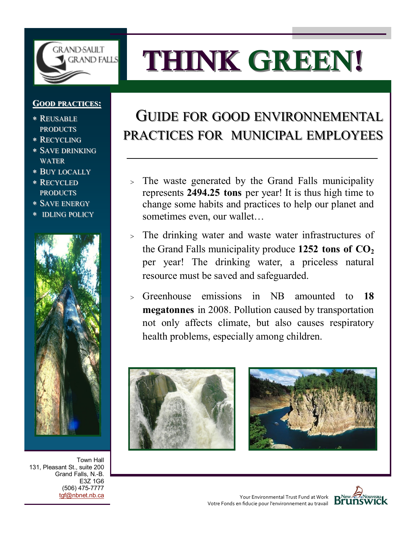

# **THINK GREEN!**

# **GOOD PRACTICES:**

- REUSABLE PRODUCTS
- RECYCLING
- SAVE DRINKING WATER
- BUY LOCALLY
- RECYCLED PRODUCTS
- SAVE ENERGY
- \* **IDLING POLICY**



Town Hall 131, Pleasant St., suite 200 Grand Falls, N.-B. E3Z 1G6 (506) 475-7777 [tgf@nbnet.nb.ca](mailto:tgf@nbnet.nb.ca)

# GUIDE FOR GOOD ENVIRONNEMENTAL PRACTICES FOR MUNICIPAL EMPLOYEES

- The waste generated by the Grand Falls municipality represents **2494.25 tons** per year! It is thus high time to change some habits and practices to help our planet and sometimes even, our wallet…
- The drinking water and waste water infrastructures of the Grand Falls municipality produce **1252 tons of CO<sup>2</sup>** per year! The drinking water, a priceless natural resource must be saved and safeguarded.
- Greenhouse emissions in NB amounted to **18 megatonnes** in 2008. Pollution caused by transportation not only affects climate, but also causes respiratory health problems, especially among children.







Your Environmental Trust Fund at Work Votre Fonds en fiducie pour l'environnement au travail